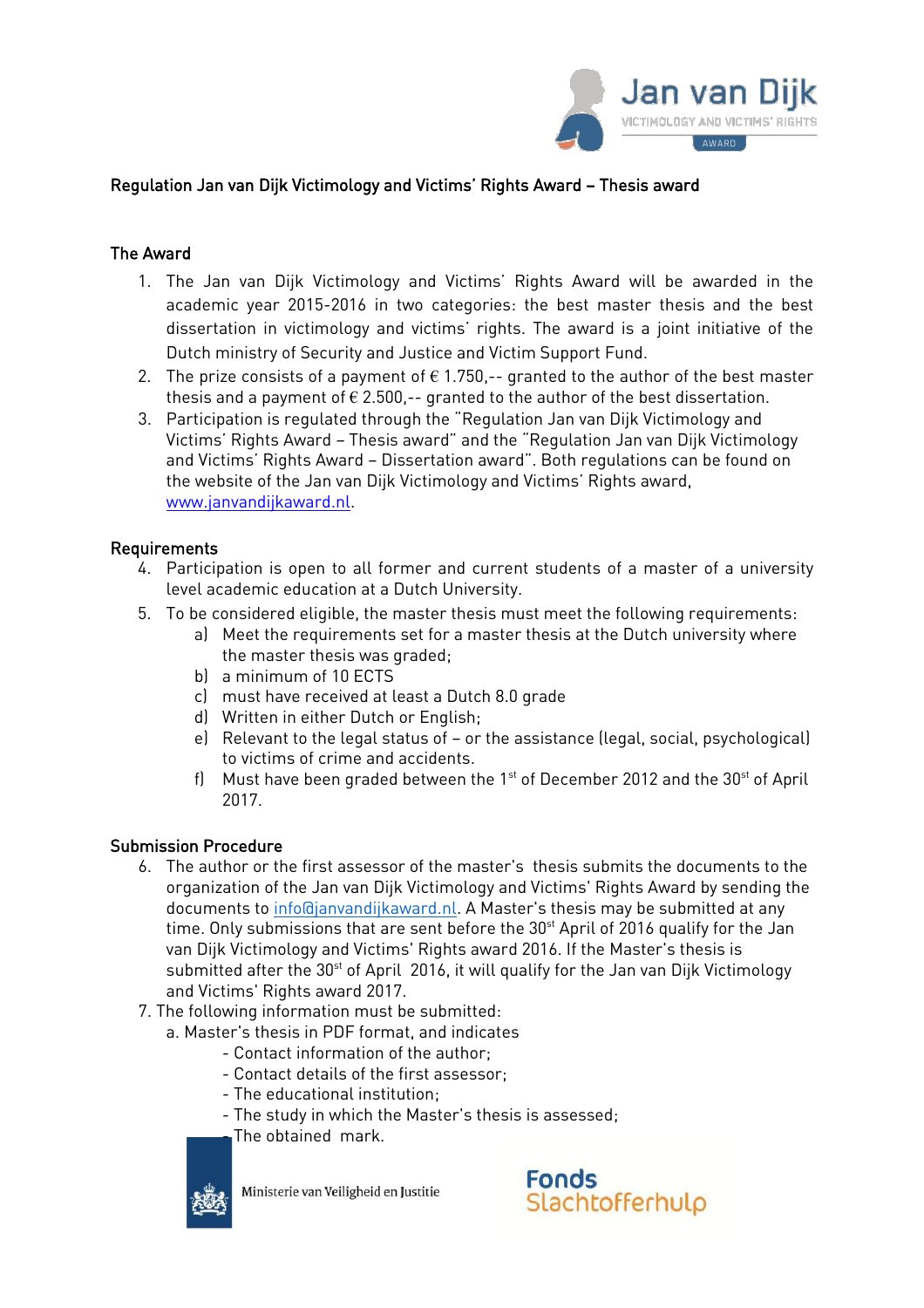

# Regulation Jan van Dijk Victimology and Victims' Rights Award – Thesis award

### The Award

- 1. The Jan van Dijk Victimology and Victims' Rights Award will be awarded in the academic year 2015-2016 in two categories: the best master thesis and the best dissertation in victimology and victims' rights. The award is a joint initiative of the Dutch ministry of Security and Justice and Victim Support Fund.
- 2. The prize consists of a payment of  $\epsilon$  1.750,-- granted to the author of the best master thesis and a payment of  $\epsilon$  2.500,-- granted to the author of the best dissertation.
- 3. Participation is regulated through the "Regulation Jan van Dijk Victimology and Victims' Rights Award – Thesis award" and the "Regulation Jan van Dijk Victimology and Victims' Rights Award – Dissertation award". Both regulations can be found on the website of the Jan van Dijk Victimology and Victims' Rights award, www.janvandijkaward.nl.

#### Requirements

- 4. Participation is open to all former and current students of a master of a university level academic education at a Dutch University.
- 5. To be considered eligible, the master thesis must meet the following requirements:
	- a) Meet the requirements set for a master thesis at the Dutch university where the master thesis was graded;
	- b) a minimum of 10 ECTS
	- c) must have received at least a Dutch 8.0 grade
	- d) Written in either Dutch or English;
	- e) Relevant to the legal status of or the assistance (legal, social, psychological) to victims of crime and accidents.
	- f) Must have been graded between the  $1<sup>st</sup>$  of December 2012 and the 30 $<sup>st</sup>$  of April</sup> 2017.

#### Submission Procedure

- 6. The author or the first assessor of the master's thesis submits the documents to the organization of the Jan van Dijk Victimology and Victims' Rights Award by sending the documents to [info@janvandijkaward.nl.](mailto:info@janvandijkaward.nl) A Master's thesis may be submitted at any time. Only submissions that are sent before the  $30<sup>st</sup>$  April of 2016 qualify for the Jan van Dijk Victimology and Victims' Rights award 2016. If the Master's thesis is submitted after the  $30<sup>st</sup>$  of April 2016, it will qualify for the Jan van Dijk Victimology and Victims' Rights award 2017.
- 7. The following information must be submitted:
	- a. Master's thesis in PDF format, and indicates
		- Contact information of the author;
		- Contact details of the first assessor;
		- The educational institution;
		- The study in which the Master's thesis is assessed;
		- The obtained mark.



Ministerie van Veiligheid en Justitie

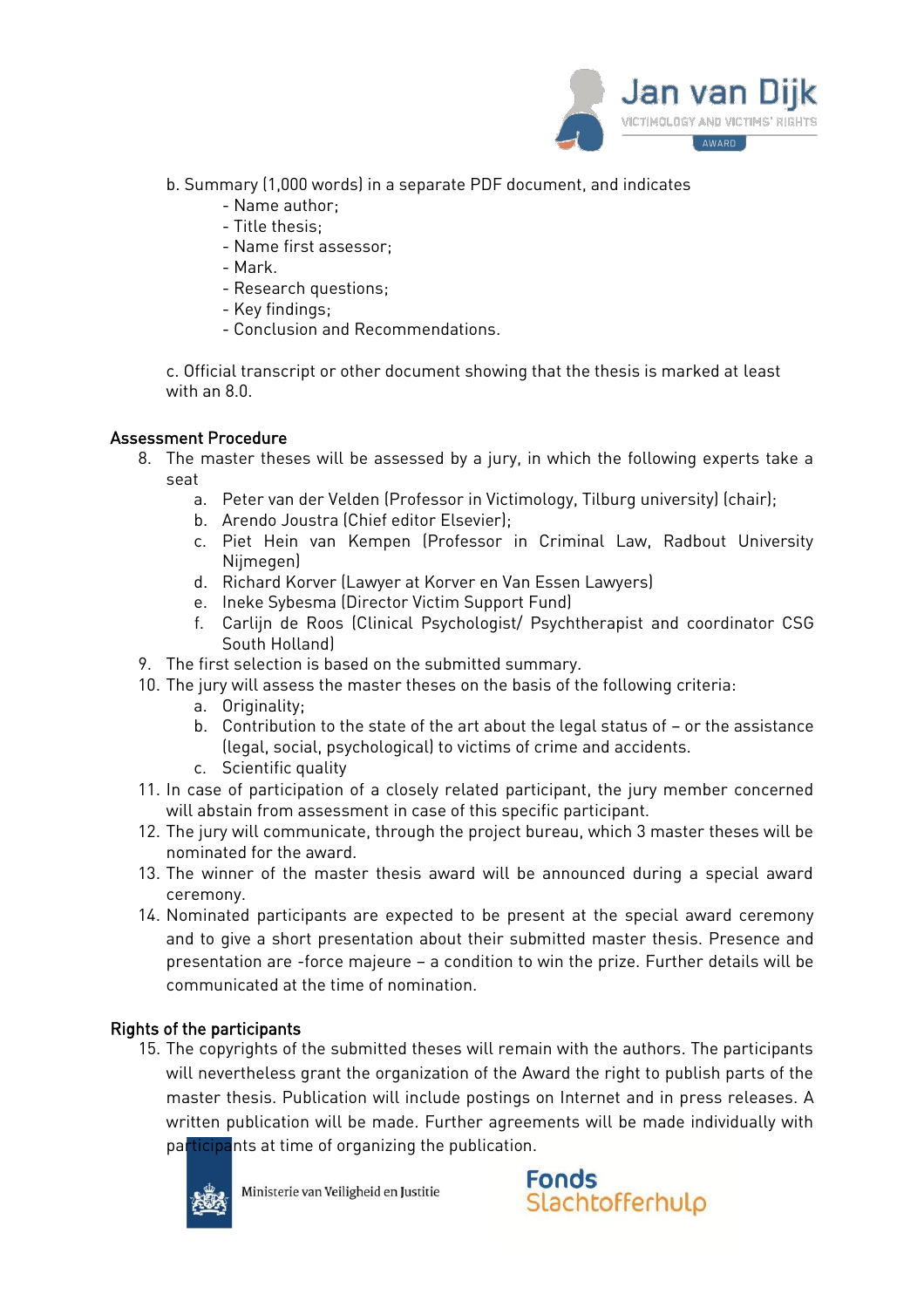

- b. Summary (1,000 words) in a separate PDF document, and indicates
	- Name author;
	- Title thesis;
	- Name first assessor;
	- Mark.
	- Research questions;
	- Key findings;
	- Conclusion and Recommendations.

c. Official transcript or other document showing that the thesis is marked at least with an 8.0.

### Assessment Procedure

- 8. The master theses will be assessed by a jury, in which the following experts take a seat
	- a. Peter van der Velden (Professor in Victimology, Tilburg university) (chair);
	- b. Arendo Joustra (Chief editor Elsevier);
	- c. Piet Hein van Kempen (Professor in Criminal Law, Radbout University Nijmegen)
	- d. Richard Korver (Lawyer at Korver en Van Essen Lawyers)
	- e. Ineke Sybesma (Director Victim Support Fund)
	- f. Carlijn de Roos (Clinical Psychologist/ Psychtherapist and coordinator CSG South Holland)
- 9. The first selection is based on the submitted summary.
- 10. The jury will assess the master theses on the basis of the following criteria:
	- a. Originality;
	- b. Contribution to the state of the art about the legal status of or the assistance (legal, social, psychological) to victims of crime and accidents.
	- c. Scientific quality
- 11. In case of participation of a closely related participant, the jury member concerned will abstain from assessment in case of this specific participant.
- 12. The jury will communicate, through the project bureau, which 3 master theses will be nominated for the award.
- 13. The winner of the master thesis award will be announced during a special award ceremony.
- 14. Nominated participants are expected to be present at the special award ceremony and to give a short presentation about their submitted master thesis. Presence and presentation are -force majeure – a condition to win the prize. Further details will be communicated at the time of nomination.

## Rights of the participants

15. The copyrights of the submitted theses will remain with the authors. The participants will nevertheless grant the organization of the Award the right to publish parts of the master thesis. Publication will include postings on Internet and in press releases. A written publication will be made. Further agreements will be made individually with participants at time of organizing the publication.



Ministerie van Veiligheid en Justitie